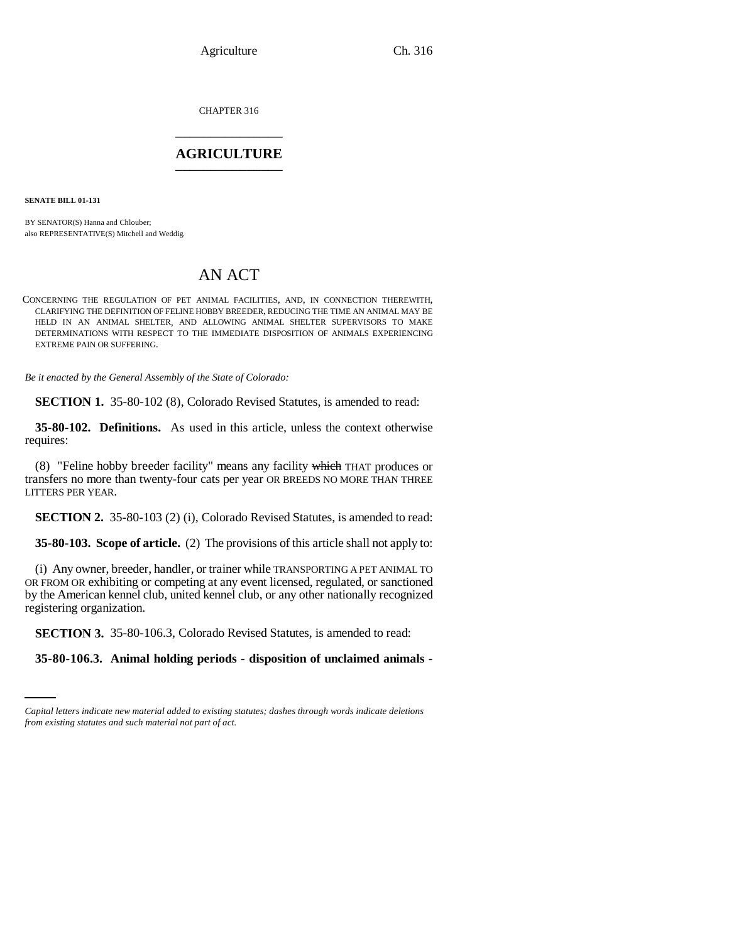CHAPTER 316 \_\_\_\_\_\_\_\_\_\_\_\_\_\_\_

## **AGRICULTURE** \_\_\_\_\_\_\_\_\_\_\_\_\_\_\_

**SENATE BILL 01-131**

BY SENATOR(S) Hanna and Chlouber; also REPRESENTATIVE(S) Mitchell and Weddig.

## AN ACT

CONCERNING THE REGULATION OF PET ANIMAL FACILITIES, AND, IN CONNECTION THEREWITH, CLARIFYING THE DEFINITION OF FELINE HOBBY BREEDER, REDUCING THE TIME AN ANIMAL MAY BE HELD IN AN ANIMAL SHELTER, AND ALLOWING ANIMAL SHELTER SUPERVISORS TO MAKE DETERMINATIONS WITH RESPECT TO THE IMMEDIATE DISPOSITION OF ANIMALS EXPERIENCING EXTREME PAIN OR SUFFERING.

*Be it enacted by the General Assembly of the State of Colorado:*

**SECTION 1.** 35-80-102 (8), Colorado Revised Statutes, is amended to read:

**35-80-102. Definitions.** As used in this article, unless the context otherwise requires:

(8) "Feline hobby breeder facility" means any facility which THAT produces or transfers no more than twenty-four cats per year OR BREEDS NO MORE THAN THREE LITTERS PER YEAR.

**SECTION 2.** 35-80-103 (2) (i), Colorado Revised Statutes, is amended to read:

**35-80-103. Scope of article.** (2) The provisions of this article shall not apply to:

(i) Any owner, breeder, handler, or trainer while TRANSPORTING A PET ANIMAL TO OR FROM OR exhibiting or competing at any event licensed, regulated, or sanctioned by the American kennel club, united kennel club, or any other nationally recognized registering organization.

 **SECTION 3.** 35-80-106.3, Colorado Revised Statutes, is amended to read:

**35-80-106.3. Animal holding periods - disposition of unclaimed animals -**

*Capital letters indicate new material added to existing statutes; dashes through words indicate deletions from existing statutes and such material not part of act.*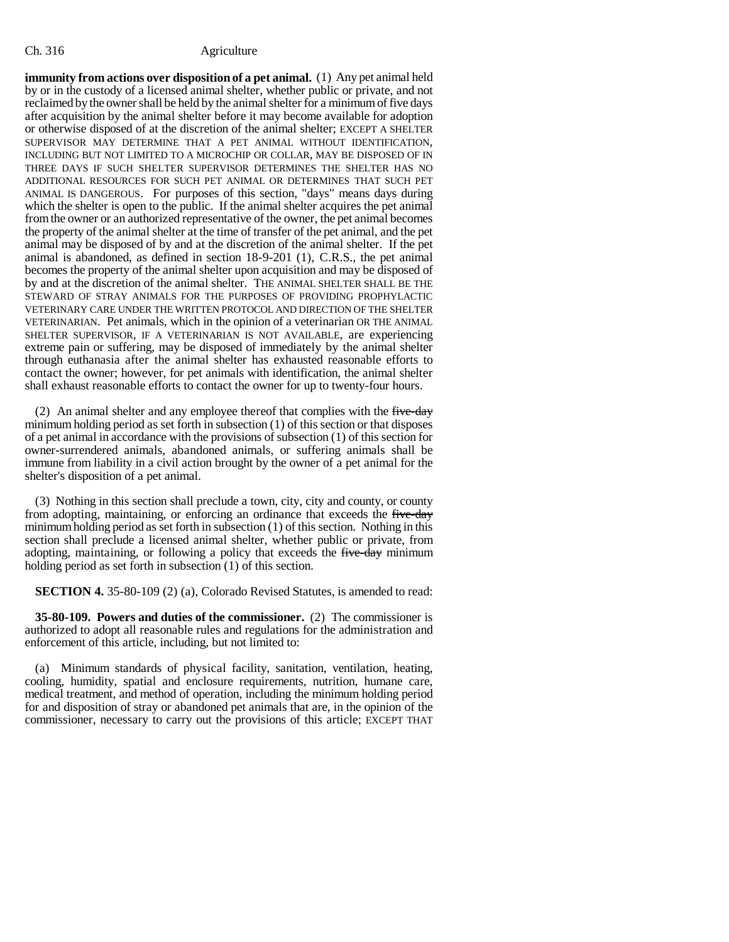## Ch. 316 Agriculture

**immunity from actions over disposition of a pet animal.** (1) Any pet animal held by or in the custody of a licensed animal shelter, whether public or private, and not reclaimed by the owner shall be held by the animal shelter for a minimum of five days after acquisition by the animal shelter before it may become available for adoption or otherwise disposed of at the discretion of the animal shelter; EXCEPT A SHELTER SUPERVISOR MAY DETERMINE THAT A PET ANIMAL WITHOUT IDENTIFICATION, INCLUDING BUT NOT LIMITED TO A MICROCHIP OR COLLAR, MAY BE DISPOSED OF IN THREE DAYS IF SUCH SHELTER SUPERVISOR DETERMINES THE SHELTER HAS NO ADDITIONAL RESOURCES FOR SUCH PET ANIMAL OR DETERMINES THAT SUCH PET ANIMAL IS DANGEROUS. For purposes of this section, "days" means days during which the shelter is open to the public. If the animal shelter acquires the pet animal from the owner or an authorized representative of the owner, the pet animal becomes the property of the animal shelter at the time of transfer of the pet animal, and the pet animal may be disposed of by and at the discretion of the animal shelter. If the pet animal is abandoned, as defined in section 18-9-201 (1), C.R.S., the pet animal becomes the property of the animal shelter upon acquisition and may be disposed of by and at the discretion of the animal shelter. THE ANIMAL SHELTER SHALL BE THE STEWARD OF STRAY ANIMALS FOR THE PURPOSES OF PROVIDING PROPHYLACTIC VETERINARY CARE UNDER THE WRITTEN PROTOCOL AND DIRECTION OF THE SHELTER VETERINARIAN. Pet animals, which in the opinion of a veterinarian OR THE ANIMAL SHELTER SUPERVISOR, IF A VETERINARIAN IS NOT AVAILABLE, are experiencing extreme pain or suffering, may be disposed of immediately by the animal shelter through euthanasia after the animal shelter has exhausted reasonable efforts to contact the owner; however, for pet animals with identification, the animal shelter shall exhaust reasonable efforts to contact the owner for up to twenty-four hours.

(2) An animal shelter and any employee thereof that complies with the  $f<sub>i</sub>$  two-day minimum holding period as set forth in subsection (1) of this section or that disposes of a pet animal in accordance with the provisions of subsection (1) of this section for owner-surrendered animals, abandoned animals, or suffering animals shall be immune from liability in a civil action brought by the owner of a pet animal for the shelter's disposition of a pet animal.

(3) Nothing in this section shall preclude a town, city, city and county, or county from adopting, maintaining, or enforcing an ordinance that exceeds the five-day minimum holding period as set forth in subsection (1) of this section. Nothing in this section shall preclude a licensed animal shelter, whether public or private, from adopting, maintaining, or following a policy that exceeds the five-day minimum holding period as set forth in subsection (1) of this section.

**SECTION 4.** 35-80-109 (2) (a), Colorado Revised Statutes, is amended to read:

**35-80-109. Powers and duties of the commissioner.** (2) The commissioner is authorized to adopt all reasonable rules and regulations for the administration and enforcement of this article, including, but not limited to:

(a) Minimum standards of physical facility, sanitation, ventilation, heating, cooling, humidity, spatial and enclosure requirements, nutrition, humane care, medical treatment, and method of operation, including the minimum holding period for and disposition of stray or abandoned pet animals that are, in the opinion of the commissioner, necessary to carry out the provisions of this article; EXCEPT THAT